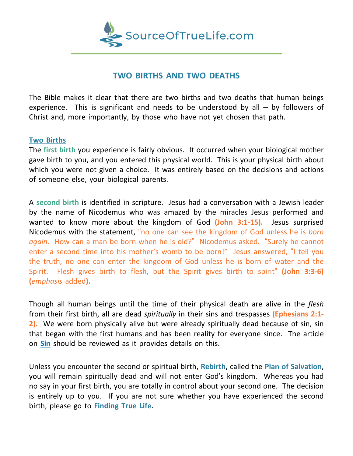

## **TWO BIRTHS AND TWO DEATHS**

The Bible makes it clear that there are two births and two deaths that human beings experience. This is significant and needs to be understood by all – by followers of Christ and, more importantly, by those who have not yet chosen that path.

## **Two Births**

The **first birth** you experience is fairly obvious. It occurred when your biological mother gave birth to you, and you entered this physical world. This is your physical birth about which you were not given a choice. It was entirely based on the decisions and actions of someone else, your biological parents.

A **second birth** is identified in scripture. Jesus had a conversation with a Jewish leader by the name of Nicodemus who was amazed by the miracles Jesus performed and wanted to know more about the kingdom of God **(John 3:1-15).** Jesus surprised Nicodemus with the statement, "no one can see the kingdom of God unless he is *born again*. How can a man be born when he is old?" Nicodemus asked. "Surely he cannot enter a second time into his mother's womb to be born!" Jesus answered, "I tell you the truth, no one can enter the kingdom of God unless he is born of water and the Spirit. Flesh gives birth to flesh, but the Spirit gives birth to spirit" **(John 3:3-6) (***emphasis* added**).**

Though all human beings until the time of their physical death are alive in the *flesh* from their first birth, all are dead *spiritually* in their sins and trespasses **(Ephesians 2:1- 2).** We were born physically alive but were already spiritually dead because of sin, sin that began with the first humans and has been reality for everyone since. The article on **Sin** should be reviewed as it provides details on this.

Unless you encounter the second or spiritual birth, **Rebirth**, called the **Plan of Salvation**, you will remain spiritually dead and will not enter God's kingdom. Whereas you had no say in your first birth, you are totally in control about your second one. The decision is entirely up to you. If you are not sure whether you have experienced the second birth, please go to **Finding True Life**.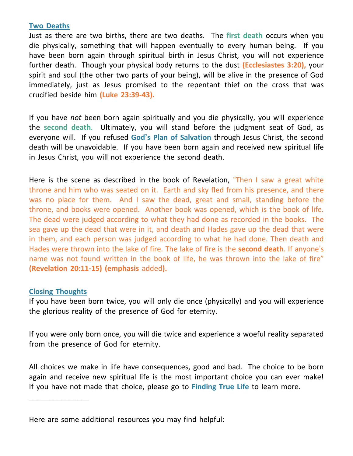## **Two Deaths**

Just as there are two births, there are two deaths. The **first death** occurs when you die physically, something that will happen eventually to every human being. If you have been born again through spiritual birth in Jesus Christ, you will not experience further death. Though your physical body returns to the dust **(Ecclesiastes 3:20),** your spirit and soul (the other two parts of your being), will be alive in the presence of God immediately, just as Jesus promised to the repentant thief on the cross that was crucified beside him **(Luke 23:39-43).**

If you have *not* been born again spiritually and you die physically, you will experience the **second death**. Ultimately, you will stand before the judgment seat of God, as everyone will. If you refused **God's Plan of Salvation** through Jesus Christ, the second death will be unavoidable. If you have been born again and received new spiritual life in Jesus Christ, you will not experience the second death.

Here is the scene as described in the book of Revelation, "Then I saw a great white throne and him who was seated on it. Earth and sky fled from his presence, and there was no place for them. And I saw the dead, great and small, standing before the throne, and books were opened. Another book was opened, which is the book of life. The dead were judged according to what they had done as recorded in the books. The sea gave up the dead that were in it, and death and Hades gave up the dead that were in them, and each person was judged according to what he had done. Then death and Hades were thrown into the lake of fire. The lake of fire is the **second death**. If anyone's name was not found written in the book of life, he was thrown into the lake of fire" **(Revelation 20:11-15) (emphasis** added**).**

## **Closing Thoughts**

\_\_\_\_\_\_\_\_\_\_\_\_\_\_\_

If you have been born twice, you will only die once (physically) and you will experience the glorious reality of the presence of God for eternity.

If you were only born once, you will die twice and experience a woeful reality separated from the presence of God for eternity.

All choices we make in life have consequences, good and bad. The choice to be born again and receive new spiritual life is the most important choice you can ever make! If you have not made that choice, please go to **Finding True Life** to learn more.

Here are some additional resources you may find helpful: